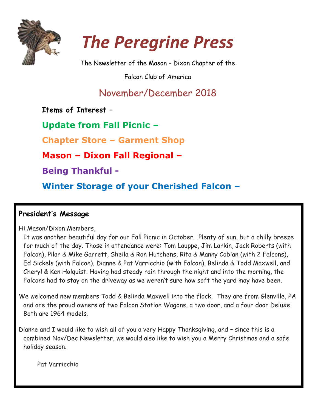



The Newsletter of the Mason – Dixon Chapter of the

Falcon Club of America

# November/December 2018

**Items of Interest –**

**Update from Fall Picnic –**

**Chapter Store – Garment Shop**

**Mason – Dixon Fall Regional –**

**Being Thankful -**

**Winter Storage of your Cherished Falcon –**

### **President's Message**

Hi Mason/Dixon Members,

It was another beautiful day for our Fall Picnic in October. Plenty of sun, but a chilly breeze for much of the day. Those in attendance were: Tom Lauppe, Jim Larkin, Jack Roberts (with Falcon), Pilar & Mike Garrett, Sheila & Ron Hutchens, Rita & Manny Cobian (with 2 Falcons), Ed Sickels (with Falcon), Dianne & Pat Varricchio (with Falcon), Belinda & Todd Maxwell, and Cheryl & Ken Holquist. Having had steady rain through the night and into the morning, the Falcons had to stay on the driveway as we weren't sure how soft the yard may have been.

We welcomed new members Todd & Belinda Maxwell into the flock. They are from Glenville, PA and are the proud owners of two Falcon Station Wagons, a two door, and a four door Deluxe. Both are 1964 models.

Dianne and I would like to wish all of you a very Happy Thanksgiving, and – since this is a combined Nov/Dec Newsletter, we would also like to wish you a Merry Christmas and a safe holiday season.

Pat Varricchio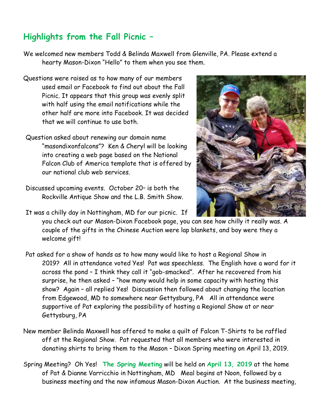### **Highlights from the Fall Picnic –**

We welcomed new members Todd & Belinda Maxwell from Glenville, PA. Please extend a hearty Mason-Dixon "Hello" to them when you see them.

- Questions were raised as to how many of our members used email or Facebook to find out about the Fall Picnic. It appears that this group was evenly split with half using the email notifications while the other half are more into Facebook. It was decided that we will continue to use both.
- Question asked about renewing our domain name "masondixonfalcons"? Ken & Cheryl will be looking into creating a web page based on the National Falcon Club of America template that is offered by our national club web services.
- Discussed upcoming events. October  $20<sup>*</sup>$  is both the Rockville Antique Show and the L.B. Smith Show.

It was a chilly day in Nottingham, MD for our picnic. If



- Pat asked for a show of hands as to how many would like to host a Regional Show in 2019? All in attendance voted Yes! Pat was speechless. The English have a word for it across the pond – I think they call it "gob-smacked". After he recovered from his surprise, he then asked – "how many would help in some capacity with hosting this show? Again – all replied Yes! Discussion then followed about changing the location from Edgewood, MD to somewhere near Gettysburg, PA All in attendance were supportive of Pat exploring the possibility of hosting a Regional Show at or near Gettysburg, PA
- New member Belinda Maxwell has offered to make a quilt of Falcon T-Shirts to be raffled off at the Regional Show. Pat requested that all members who were interested in donating shirts to bring them to the Mason – Dixon Spring meeting on April 13, 2019.
- Spring Meeting? Oh Yes! **The Spring Meeting** will be held on **April 13, 2019** at the home of Pat & Dianne Varricchio in Nottingham, MD Meal begins at Noon, followed by a business meeting and the now infamous Mason-Dixon Auction. At the business meeting,

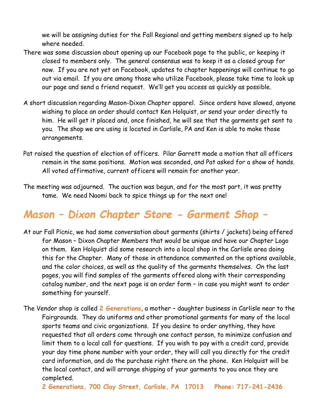we will be assigning duties for the Fall Regional and getting members signed up to help where needed.

- There was some discussion about opening up our Facebook page to the public, or keeping it closed to members only. The general consensus was to keep it as a closed group for now. If you are not yet on Facebook, updates to chapter happenings will continue to go out via email. If you are among those who utilize Facebook, please take time to look up our page and send a friend request. We'll get you access as quickly as possible.
- A short discussion regarding Mason-Dixon Chapter apparel. Since orders have slowed, anyone wishing to place an order should contact Ken Holquist, or send your order directly to him. He will get it placed and, once finished, he will see that the garments get sent to you. The shop we are using is located in Carlisle, PA and Ken is able to make those arrangements.
- Pat raised the question of election of officers. Pilar Garrett made a motion that all officers remain in the same positions. Motion was seconded, and Pat asked for a show of hands. All voted affirmative, current officers will remain for another year.
- The meeting was adjourned. The auction was begun, and for the most part, it was pretty tame. We need Naomi back to spice things up for the next one!

# *Mason – Dixon Chapter Store - Garment Shop –*

- At our Fall Picnic, we had some conversation about garments (shirts / jackets) being offered for Mason – Dixon Chapter Members that would be unique and have our Chapter Logo on them. Ken Holquist did some research into a local shop in the Carlisle area doing this for the Chapter. Many of those in attendance commented on the options available, and the color choices, as well as the quality of the garments themselves. On the last pages, you will find samples of the garments offered along with their corresponding catalog number, and the next page is an order form – in case you might want to order something for yourself.
- The Vendor shop is called **2 Generations**, a mother daughter business in Carlisle near to the Fairgrounds. They do uniforms and other promotional garments for many of the local sports teams and civic organizations. If you desire to order anything, they have requested that all orders come through one contact person, to minimize confusion and limit them to a local call for questions. If you wish to pay with a credit card, provide your day time phone number with your order, they will call you directly for the credit card information, and do the purchase right there on the phone. Ken Holquist will be the local contact, and will arrange shipping of your garments to you once they are completed.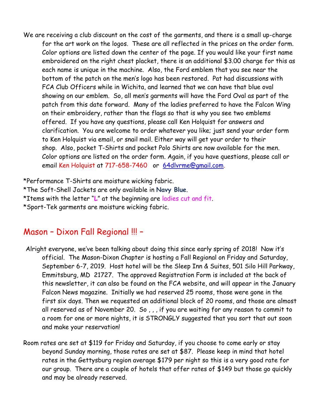We are receiving a club discount on the cost of the garments, and there is a small up-charge for the art work on the logos. These are all reflected in the prices on the order form. Color options are listed down the center of the page. If you would like your first name embroidered on the right chest placket, there is an additional \$3.00 charge for this as each name is unique in the machine. Also, the Ford emblem that you see near the bottom of the patch on the men's logo has been restored. Pat had discussions with FCA Club Officers while in Wichita, and learned that we can have that blue oval showing on our emblem. So, all men's garments will have the Ford Oval as part of the patch from this date forward. Many of the ladies preferred to have the Falcon Wing on their embroidery, rather than the flags so that is why you see two emblems offered. If you have any questions, please call Ken Holquist for answers and clarification. You are welcome to order whatever you like; just send your order form to Ken Holquist via email, or snail mail. Either way will get your order to their shop. Also, pocket T-Shirts and pocket Polo Shirts are now available for the men. Color options are listed on the order form. Again, if you have questions, please call or email Ken Holquist at 717-658-7460 or [64dlvrme@gmail.com.](mailto:64dlvrme@gmail.com)

\*Performance T-Shirts are moisture wicking fabric. \*The Soft-Shell Jackets are only available in **Navy Blue**. \*Items with the letter "**L**" at the beginning are ladies cut and fit. \*Sport-Tek garments are moisture wicking fabric.

### Mason – Dixon Fall Regional !!! –

- Alright everyone, we've been talking about doing this since early spring of 2018! Now it's official. The Mason-Dixon Chapter is hosting a Fall Regional on Friday and Saturday, September 6-7, 2019. Host hotel will be the Sleep Inn & Suites, 501 Silo Hill Parkway, Emmitsburg, MD 21727. The approved Registration Form is included at the back of this newsletter, it can also be found on the FCA website, and will appear in the January Falcon News magazine. Initially we had reserved 25 rooms, those were gone in the first six days. Then we requested an additional block of 20 rooms, and those are almost all reserved as of November 20. So , , , if you are waiting for any reason to commit to a room for one or more nights, it is STRONGLY suggested that you sort that out soon and make your reservation!
- Room rates are set at \$119 for Friday and Saturday, if you choose to come early or stay beyond Sunday morning, those rates are set at \$87. Please keep in mind that hotel rates in the Gettysburg region average \$179 per night so this is a very good rate for our group. There are a couple of hotels that offer rates of \$149 but those go quickly and may be already reserved.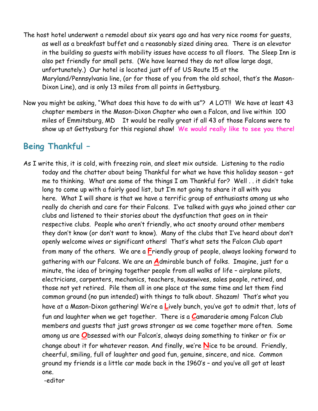- The host hotel underwent a remodel about six years ago and has very nice rooms for guests, as well as a breakfast buffet and a reasonably sized dining area. There is an elevator in the building so guests with mobility issues have access to all floors. The Sleep Inn is also pet friendly for small pets. (We have learned they do not allow large dogs, unfortunately.) Our hotel is located just off of US Route 15 at the Maryland/Pennsylvania line, (or for those of you from the old school, that's the Mason-Dixon Line), and is only 13 miles from all points in Gettysburg.
- Now you might be asking, "What does this have to do with us"? A LOT!! We have at least 43 chapter members in the Mason-Dixon Chapter who own a Falcon, and live within 100 miles of Emmitsburg, MD It would be really great if all 43 of those Falcons were to show up at Gettysburg for this regional show! **We would really like to see you there!**

### **Being Thankful –**

As I write this, it is cold, with freezing rain, and sleet mix outside. Listening to the radio today and the chatter about being Thankful for what we have this holiday season – got me to thinking. What are some of the things I am Thankful for? Well . . it didn't take long to come up with a fairly good list, but I'm not going to share it all with you here. What I will share is that we have a terrific group of enthusiasts among us who really do cherish and care for their Falcons. I've talked with guys who joined other car clubs and listened to their stories about the dysfunction that goes on in their respective clubs. People who aren't friendly, who act snooty around other members they don't know (or don't want to know). Many of the clubs that I've heard about don't openly welcome wives or significant others! That's what sets the Falcon Club apart from many of the others. We are a **F**riendly group of people, always looking forward to gathering with our Falcons. We are an **A**dmirable bunch of folks. Imagine, just for a minute, the idea of bringing together people from all walks of life – airplane pilots, electricians, carpenters, mechanics, teachers, housewives, sales people, retired, and those not yet retired. Pile them all in one place at the same time and let them find common ground (no pun intended) with things to talk about. Shazam! That's what you have at a Mason-Dixon gathering! We're a **L**ively bunch, you've got to admit that, lots of fun and laughter when we get together. There is a **C**amaraderie among Falcon Club members and guests that just grows stronger as we come together more often. Some among us are **O**bsessed with our Falcon's, always doing something to tinker or fix or change about it for whatever reason. And finally, we're **N**ice to be around. Friendly, cheerful, smiling, full of laughter and good fun, genuine, sincere, and nice. Common ground my friends is a little car made back in the 1960's – and you've all got at least one. -editor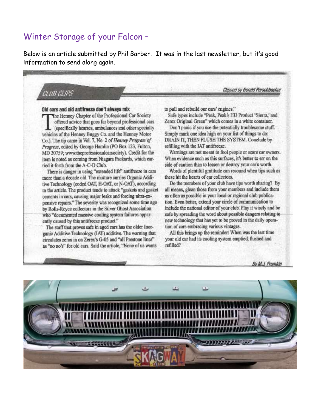### Winter Storage of your Falcon -

Below is an article submitted by Phil Barber. It was in the last newsletter, but it's good information to send along again.

CLUB CLIPS

Old cars and old antifreeze don't always mix The Henney Chapter of the Professional Car Society offered advice that goes far beyond professional cars (specifically hearses, ambulances and other specialty vehicles of the Henney Buggy Co. and the Henney Motor Co.). The tip came in Vol. 7, No. 2 of Henney Program of Progress, edited by George Hamlin (PO Box 123, Fulton, MD 20759; www.theprofessionalcarsociety). Credit for the item is noted as coming from Niagara Packards, which carried it forth from the A-C-D Club.

There is danger in using "extended life" antifreeze in cars more than a decade old. The mixture carries Organic Additive Technology (coded OAT, H-OAT, or N-OAT), according to the article. The product tends to attack "gaskets and gasket cements in cars, causing major leaks and forcing ultra-expensive repairs." The severity was recognized some time ago by Rolls-Royce collectors in the Silver Ghost Association who "documented massive cooling system failures apparently caused by this antifreeze product."

The stuff that proves safe in aged cars has the older Inorganic Additive Technology (IAT) additive. The warning that circulates zeros in on Zerex's G-05 and "all Prestone lines" as "no no's" for old cars. Said the article, "None of us wants to pull and rebuild our cars' engines."

Safe types include "Peak, Peak's HD Product 'Sierra,' and Zerex Original Green" which comes in a white container.

Clinned by Gerald Perschbacher

Don't panic if you use the potentially troublesome stuff. Simply mark one idea high on your list of things to do: DRAIN IT, THEN FLUSH THE SYSTEM. Conclude by refilling with the IAT antifreeze.

Warnings are not meant to fool people or scare car owners. When evidence such as this surfaces, it's better to err on the side of caution than to lessen or destroy your car's worth.

Words of plentiful gratitude can resound when tips such as these hit the hearts of car collectors.

Do the members of your club have tips worth sharing? By all means, glean those from your members and include them as often as possible in your local or regional club publication. Even better, extend your circle of communication to include the national editor of your club. Play it wisely and be safe by spreading the word about possible dangers relating to new technology that has yet to be proved in the daily operation of cars embracing various vintages.

All this brings up the reminder: When was the last time your old car had its cooling system emptied, flushed and refilled?

By M.J. Frumkin

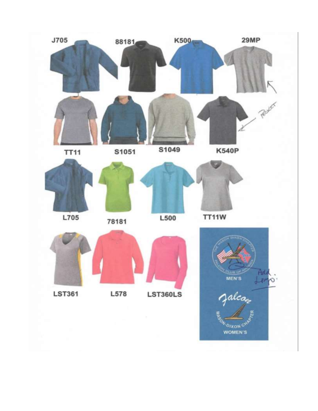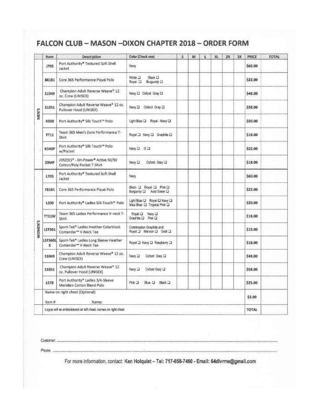### FALCON CLUB - MASON - DIXON CHAPTER 2018 - ORDER FORM

|         | Item                                                           | Description                                                                | Color (Check one)                                            | s | M | E | XL | <b>2X</b> | ЗХ | PRICE        | <b>TOTAL</b> |
|---------|----------------------------------------------------------------|----------------------------------------------------------------------------|--------------------------------------------------------------|---|---|---|----|-----------|----|--------------|--------------|
| MEN'S   | 1705                                                           | Port Authority® Textured Soft Shell<br>Jacket                              | Navy                                                         |   |   |   |    |           |    | \$60.00      |              |
|         | 88181                                                          | Core 365 Performance Piqué Polo                                            | <b>二 sofilW</b><br>Black D<br>Royal III<br>Burgundy III      |   |   |   |    |           |    | \$22.00      |              |
|         | 51049                                                          | Champion Adult Reverse Weave® 12<br>oz. Crew (UNISEX)                      | Navy LJ Oxford Gray LJ                                       |   |   |   |    |           |    | \$48.00      |              |
|         | 51051                                                          | Champion Adult Reverse Weave* 12 oz.<br>Pullover Hood (UNISEX)             | Navy D Oxford Gray D                                         |   |   |   |    |           |    | \$58.00      |              |
|         | K500                                                           | Port Authority® Silk Touch™ Polo                                           | Light Blue Q Rayal - Navy Q                                  |   |   |   |    |           |    | \$20.00      |              |
|         | TT11                                                           | Team 365 Men's Zone Performance T-<br>Shirt                                | Royal a Navy a Graphite D                                    |   |   |   |    |           |    | \$18.00      |              |
|         | <b>K540P</b>                                                   | Part Authority® Silk Touch™ Polo<br>w/Pocket                               | Navy <b>D</b> G D                                            |   |   |   |    |           |    | \$22.00      |              |
|         | <b>29MP</b>                                                    | JERZEES® - Dri-Power® Active 50/50<br>Cotton/Poly Pocket T-Shirt           | Navy $\square$<br>Coford Gray La                             |   |   |   |    |           |    | \$18.00      |              |
|         | <b>L705</b>                                                    | Port Authority® Textured Soft Shell<br>Jacket                              | Navy                                                         |   |   |   |    |           |    | \$60.00      |              |
|         | 78181                                                          | Core 365 Performance Piqué Polo                                            | Black O Royal O Pink O<br>Burgundy Q Acid Green Q            |   |   |   |    |           |    | \$22.00      |              |
|         | <b>LS00</b>                                                    | Port Authority* Ladies Silk Touch <sup>w</sup> Polo                        | Light Blue Q Royal Q Navy Q<br>Maui Blue CJ Tropical Pink CJ |   |   |   |    |           |    | \$20.00      |              |
|         | TT11W                                                          | Team 365 Ladies Performance V-neck T-<br>Shirt                             | Royal CJ Navy CJ<br>Graphite [ Pink [ ]                      |   |   |   |    |           |    | \$18.00      |              |
| WOMEN'S | LST361                                                         | Sport-Tek* Ladies Heather Colorblock<br>Contender <sup>-</sup> V-Neck Tee  | Combination Graphite and:<br>Royal a Marcon a Gold a         |   |   |   |    |           |    | \$15.00      |              |
|         | LST360L<br>s                                                   | Sport-Tek* Ladies Long Sleeve Heather<br>Contender <sup>®</sup> V-Neck Tee | Royal a Navy a Raspberry a                                   |   |   |   |    |           |    | \$18.00      |              |
|         | 51049                                                          | Champion Adult Reverse Weave* 12 oz.<br>Crew (UNISEX)                      | Cxford Gray O<br>Navy <sub>13</sub>                          |   |   |   |    |           |    | \$48.00      |              |
|         | \$1051                                                         | Champion Adult Reverse Weave® 12<br>oz. Pullover Hood (UNISEX)             | Navy II<br>Coford Gray CI                                    |   |   |   |    |           |    | \$58.00      |              |
|         | <b>L578</b>                                                    | Port Authority® Ladies 3/4-Sleeve<br>Meridian Cotton Blend Polo            | Pink 3<br>Blue LI Black LI                                   |   |   |   |    |           |    | \$25.00      |              |
|         | Name on right chest (Optional).                                |                                                                            |                                                              |   |   |   |    |           |    | \$3.00       |              |
|         | Item #<br>Name:                                                |                                                                            |                                                              |   |   |   |    |           |    |              |              |
|         | Logos will be embroidered on left chest, names on right chest. |                                                                            |                                                              |   |   |   |    |           |    | <b>TOTAL</b> |              |

Customer: ...

Phone: ............

.........

For more information, contact: Ken Holquist - Tel: 717-658-7460 - Email: 64dlvrme@gmail.com